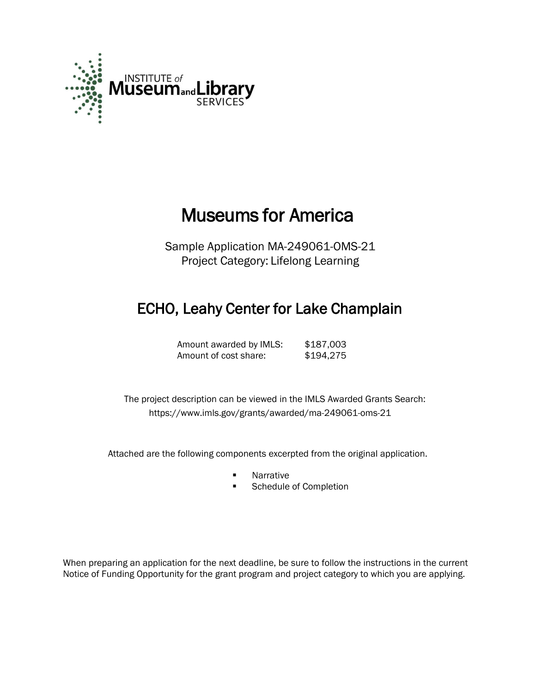

# Museums for America

Sample Application MA-249061-OMS-21 Project Category: Lifelong Learning

# ECHO, Leahy Center for Lake Champlain

Amount awarded by IMLS: \$187,003 Amount of cost share: \$194,275

 The project description can be viewed in the IMLS Awarded Grants Search: <https://www.imls.gov/grants/awarded/ma-249061-oms-21>

Attached are the following components excerpted from the original application.

- **Narrative**
- **Schedule of Completion**

When preparing an application for the next deadline, be sure to follow the instructions in the current Notice of Funding Opportunity for the grant program and project category to which you are applying.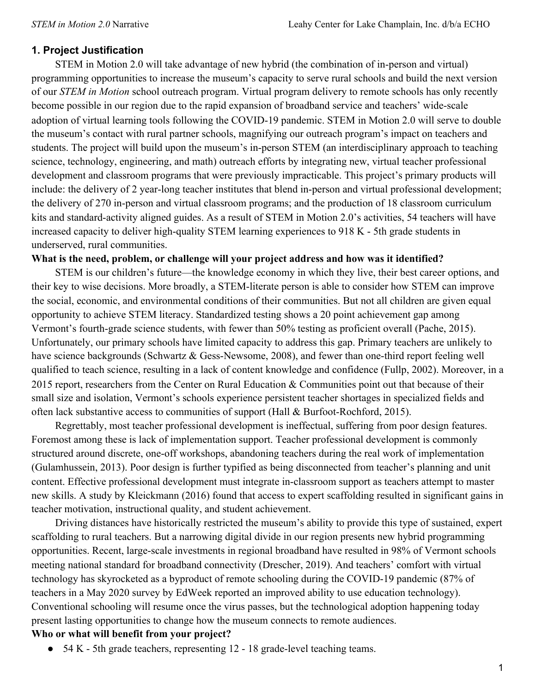### **1. Project Justification**

STEM in Motion 2.0 will take advantage of new hybrid (the combination of in-person and virtual) programming opportunities to increase the museum's capacity to serve rural schools and build the next version of our *STEM in Motion* school outreach program. Virtual program delivery to remote schools has only recently become possible in our region due to the rapid expansion of broadband service and teachers' wide-scale adoption of virtual learning tools following the COVID-19 pandemic. STEM in Motion 2.0 will serve to double the museum's contact with rural partner schools, magnifying our outreach program's impact on teachers and students. The project will build upon the museum's in-person STEM (an interdisciplinary approach to teaching science, technology, engineering, and math) outreach efforts by integrating new, virtual teacher professional development and classroom programs that were previously impracticable. This project's primary products will include: the delivery of 2 year-long teacher institutes that blend in-person and virtual professional development; the delivery of 270 in-person and virtual classroom programs; and the production of 18 classroom curriculum kits and standard-activity aligned guides. As a result of STEM in Motion 2.0's activities, 54 teachers will have increased capacity to deliver high-quality STEM learning experiences to 918 K - 5th grade students in underserved, rural communities.

#### **What is the need, problem, or challenge will your project address and how was it identified?**

STEM is our children's future—the knowledge economy in which they live, their best career options, and their key to wise decisions. More broadly, a STEM-literate person is able to consider how STEM can improve the social, economic, and environmental conditions of their communities. But not all children are given equal opportunity to achieve STEM literacy. Standardized testing shows a 20 point achievement gap among Vermont's fourth-grade science students, with fewer than 50% testing as proficient overall (Pache, 2015). Unfortunately, our primary schools have limited capacity to address this gap. Primary teachers are unlikely to have science backgrounds (Schwartz & Gess-Newsome, 2008), and fewer than one-third report feeling well qualified to teach science, resulting in a lack of content knowledge and confidence (Fullp, 2002). Moreover, in a 2015 report, researchers from the Center on Rural Education & Communities point out that because of their small size and isolation, Vermont's schools experience persistent teacher shortages in specialized fields and often lack substantive access to communities of support (Hall & Burfoot-Rochford, 2015).

Regrettably, most teacher professional development is ineffectual, suffering from poor design features. Foremost among these is lack of implementation support. Teacher professional development is commonly structured around discrete, one-off workshops, abandoning teachers during the real work of implementation (Gulamhussein, 2013). Poor design is further typified as being disconnected from teacher's planning and unit content. Effective professional development must integrate in-classroom support as teachers attempt to master new skills. A study by Kleickmann (2016) found that access to expert scaffolding resulted in significant gains in teacher motivation, instructional quality, and student achievement.

Driving distances have historically restricted the museum's ability to provide this type of sustained, expert scaffolding to rural teachers. But a narrowing digital divide in our region presents new hybrid programming opportunities. Recent, large-scale investments in regional broadband have resulted in 98% of Vermont schools meeting national standard for broadband connectivity (Drescher, 2019). And teachers' comfort with virtual technology has skyrocketed as a byproduct of remote schooling during the COVID-19 pandemic (87% of teachers in a May 2020 survey by EdWeek reported an improved ability to use education technology). Conventional schooling will resume once the virus passes, but the technological adoption happening today present lasting opportunities to change how the museum connects to remote audiences.

### **Who or what will benefit from your project?**

● 54 K - 5th grade teachers, representing 12 - 18 grade-level teaching teams.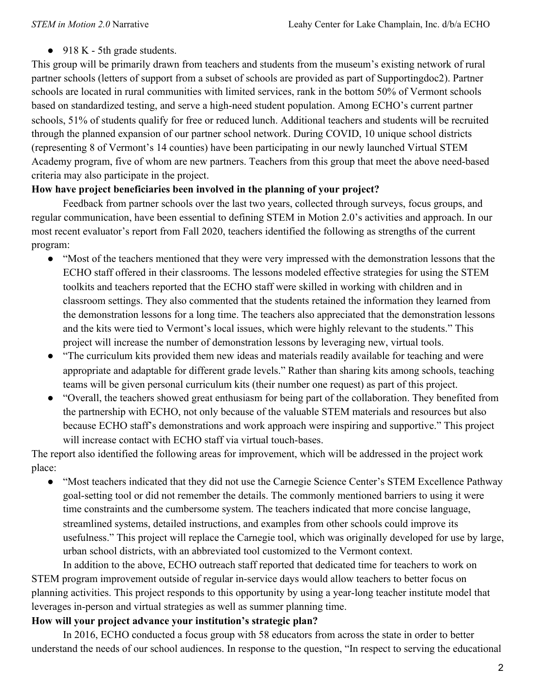$\bullet$  918 K - 5th grade students.

This group will be primarily drawn from teachers and students from the museum's existing network of rural partner schools (letters of support from a subset of schools are provided as part of Supportingdoc2). Partner schools are located in rural communities with limited services, rank in the bottom 50% of Vermont schools based on standardized testing, and serve a high-need student population. Among ECHO's current partner schools, 51% of students qualify for free or reduced lunch. Additional teachers and students will be recruited through the planned expansion of our partner school network. During COVID, 10 unique school districts (representing 8 of Vermont's 14 counties) have been participating in our newly launched Virtual STEM Academy program, five of whom are new partners. Teachers from this group that meet the above need-based criteria may also participate in the project.

### **How have project beneficiaries been involved in the planning of your project?**

Feedback from partner schools over the last two years, collected through surveys, focus groups, and regular communication, have been essential to defining STEM in Motion 2.0's activities and approach. In our most recent evaluator's report from Fall 2020, teachers identified the following as strengths of the current program:

- "Most of the teachers mentioned that they were very impressed with the demonstration lessons that the ECHO staff offered in their classrooms. The lessons modeled effective strategies for using the STEM toolkits and teachers reported that the ECHO staff were skilled in working with children and in classroom settings. They also commented that the students retained the information they learned from the demonstration lessons for a long time. The teachers also appreciated that the demonstration lessons and the kits were tied to Vermont's local issues, which were highly relevant to the students." This project will increase the number of demonstration lessons by leveraging new, virtual tools.
- "The curriculum kits provided them new ideas and materials readily available for teaching and were appropriate and adaptable for different grade levels." Rather than sharing kits among schools, teaching teams will be given personal curriculum kits (their number one request) as part of this project.
- "Overall, the teachers showed great enthusiasm for being part of the collaboration. They benefited from the partnership with ECHO, not only because of the valuable STEM materials and resources but also because ECHO staff's demonstrations and work approach were inspiring and supportive." This project will increase contact with ECHO staff via virtual touch-bases.

The report also identified the following areas for improvement, which will be addressed in the project work place:

● "Most teachers indicated that they did not use the Carnegie Science Center's STEM Excellence Pathway goal-setting tool or did not remember the details. The commonly mentioned barriers to using it were time constraints and the cumbersome system. The teachers indicated that more concise language, streamlined systems, detailed instructions, and examples from other schools could improve its usefulness." This project will replace the Carnegie tool, which was originally developed for use by large, urban school districts, with an abbreviated tool customized to the Vermont context.

In addition to the above, ECHO outreach staff reported that dedicated time for teachers to work on STEM program improvement outside of regular in-service days would allow teachers to better focus on planning activities. This project responds to this opportunity by using a year-long teacher institute model that leverages in-person and virtual strategies as well as summer planning time.

### **How will your project advance your institution's strategic plan?**

In 2016, ECHO conducted a focus group with 58 educators from across the state in order to better understand the needs of our school audiences. In response to the question, "In respect to serving the educational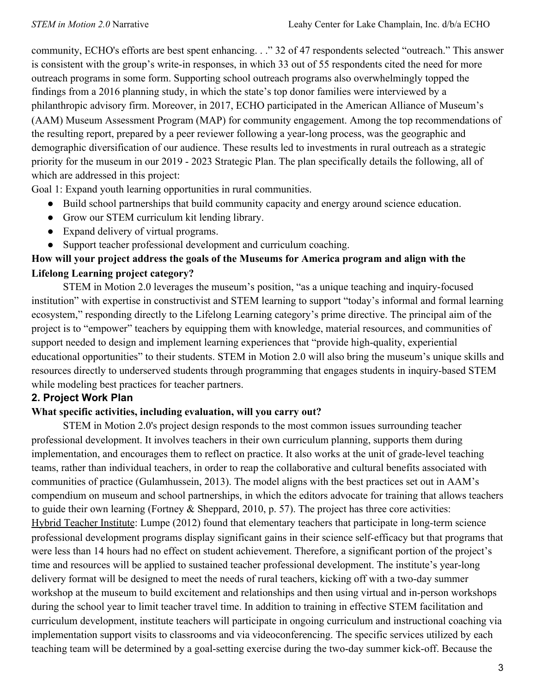community, ECHO's efforts are best spent enhancing. . ." 32 of 47 respondents selected "outreach." This answer is consistent with the group's write-in responses, in which 33 out of 55 respondents cited the need for more outreach programs in some form. Supporting school outreach programs also overwhelmingly topped the findings from a 2016 planning study, in which the state's top donor families were interviewed by a philanthropic advisory firm. Moreover, in 2017, ECHO participated in the American Alliance of Museum's (AAM) Museum Assessment Program (MAP) for community engagement. Among the top recommendations of the resulting report, prepared by a peer reviewer following a year-long process, was the geographic and demographic diversification of our audience. These results led to investments in rural outreach as a strategic priority for the museum in our 2019 - 2023 Strategic Plan. The plan specifically details the following, all of which are addressed in this project:

Goal 1: Expand youth learning opportunities in rural communities.

- Build school partnerships that build community capacity and energy around science education.
- Grow our STEM curriculum kit lending library.
- Expand delivery of virtual programs.
- Support teacher professional development and curriculum coaching.

# **How will your project address the goals of the Museums for America program and align with the Lifelong Learning project category?**

STEM in Motion 2.0 leverages the museum's position, "as a unique teaching and inquiry-focused institution" with expertise in constructivist and STEM learning to support "today's informal and formal learning ecosystem," responding directly to the Lifelong Learning category's prime directive. The principal aim of the project is to "empower" teachers by equipping them with knowledge, material resources, and communities of support needed to design and implement learning experiences that "provide high-quality, experiential educational opportunities" to their students. STEM in Motion 2.0 will also bring the museum's unique skills and resources directly to underserved students through programming that engages students in inquiry-based STEM while modeling best practices for teacher partners.

### **2. Project Work Plan**

### **What specific activities, including evaluation, will you carry out?**

STEM in Motion 2.0's project design responds to the most common issues surrounding teacher professional development. It involves teachers in their own curriculum planning, supports them during implementation, and encourages them to reflect on practice. It also works at the unit of grade-level teaching teams, rather than individual teachers, in order to reap the collaborative and cultural benefits associated with communities of practice (Gulamhussein, 2013). The model aligns with the best practices set out in AAM's compendium on museum and school partnerships, in which the editors advocate for training that allows teachers to guide their own learning (Fortney & Sheppard, 2010, p. 57). The project has three core activities: Hybrid Teacher Institute: Lumpe (2012) found that elementary teachers that participate in long-term science professional development programs display significant gains in their science self-efficacy but that programs that were less than 14 hours had no effect on student achievement. Therefore, a significant portion of the project's time and resources will be applied to sustained teacher professional development. The institute's year-long delivery format will be designed to meet the needs of rural teachers, kicking off with a two-day summer workshop at the museum to build excitement and relationships and then using virtual and in-person workshops during the school year to limit teacher travel time. In addition to training in effective STEM facilitation and curriculum development, institute teachers will participate in ongoing curriculum and instructional coaching via implementation support visits to classrooms and via videoconferencing. The specific services utilized by each teaching team will be determined by a goal-setting exercise during the two-day summer kick-off. Because the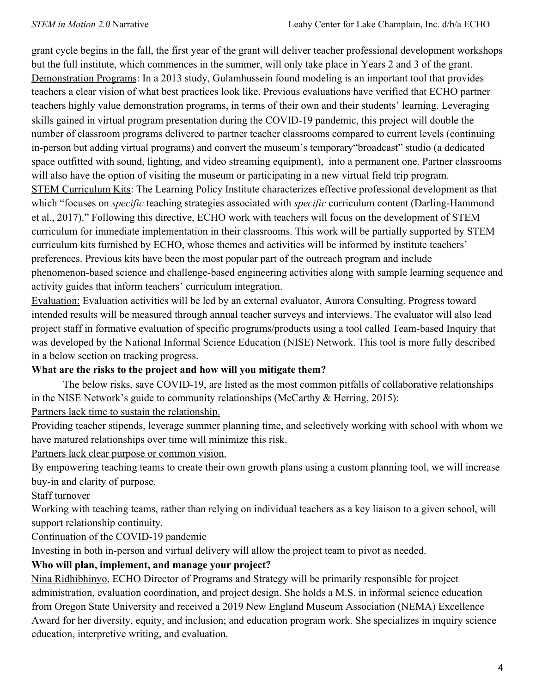grant cycle begins in the fall, the first year of the grant will deliver teacher professional development workshops but the full institute, which commences in the summer, will only take place in Years 2 and 3 of the grant. Demonstration Programs: In a 2013 study, Gulamhussein found modeling is an important tool that provides teachers a clear vision of what best practices look like. Previous evaluations have verified that ECHO partner teachers highly value demonstration programs, in terms of their own and their students' learning. Leveraging skills gained in virtual program presentation during the COVID-19 pandemic, this project will double the number of classroom programs delivered to partner teacher classrooms compared to current levels (continuing in-person but adding virtual programs) and convert the museum's temporary"broadcast" studio (a dedicated space outfitted with sound, lighting, and video streaming equipment), into a permanent one. Partner classrooms will also have the option of visiting the museum or participating in a new virtual field trip program. STEM Curriculum Kits: The Learning Policy Institute characterizes effective professional development as that which "focuses on *specific* teaching strategies associated with *specific* curriculum content (Darling-Hammond et al., 2017)." Following this directive, ECHO work with teachers will focus on the development of STEM curriculum for immediate implementation in their classrooms. This work will be partially supported by STEM curriculum kits furnished by ECHO, whose themes and activities will be informed by institute teachers' preferences. Previous kits have been the most popular part of the outreach program and include phenomenon-based science and challenge-based engineering activities along with sample learning sequence and activity guides that inform teachers' curriculum integration.

Evaluation: Evaluation activities will be led by an external evaluator, Aurora Consulting. Progress toward intended results will be measured through annual teacher surveys and interviews. The evaluator will also lead project staff in formative evaluation of specific programs/products using a tool called Team-based Inquiry that was developed by the National Informal Science Education (NISE) Network. This tool is more fully described in a below section on tracking progress.

# **What are the risks to the project and how will you mitigate them?**

The below risks, save COVID-19, are listed as the most common pitfalls of collaborative relationships in the NISE Network's guide to community relationships (McCarthy & Herring, 2015):

Partners lack time to sustain the relationship.

Providing teacher stipends, leverage summer planning time, and selectively working with school with whom we have matured relationships over time will minimize this risk.

Partners lack clear purpose or common vision.

By empowering teaching teams to create their own growth plans using a custom planning tool, we will increase buy-in and clarity of purpose.

Staff turnover

Working with teaching teams, rather than relying on individual teachers as a key liaison to a given school, will support relationship continuity.

Continuation of the COVID-19 pandemic

Investing in both in-person and virtual delivery will allow the project team to pivot as needed.

# **Who will plan, implement, and manage your project?**

Nina Ridhibhinyo, ECHO Director of Programs and Strategy will be primarily responsible for project administration, evaluation coordination, and project design. She holds a M.S. in informal science education from Oregon State University and received a 2019 New England Museum Association (NEMA) Excellence Award for her diversity, equity, and inclusion; and education program work. She specializes in inquiry science education, interpretive writing, and evaluation.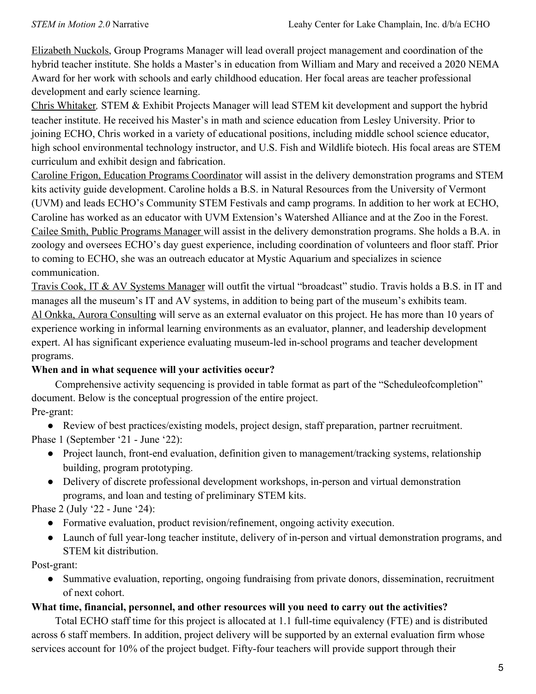Elizabeth Nuckols, Group Programs Manager will lead overall project management and coordination of the hybrid teacher institute. She holds a Master's in education from William and Mary and received a 2020 NEMA Award for her work with schools and early childhood education. Her focal areas are teacher professional development and early science learning.

Chris Whitaker*,* STEM & Exhibit Projects Manager will lead STEM kit development and support the hybrid teacher institute. He received his Master's in math and science education from Lesley University. Prior to joining ECHO, Chris worked in a variety of educational positions, including middle school science educator, high school environmental technology instructor, and U.S. Fish and Wildlife biotech. His focal areas are STEM curriculum and exhibit design and fabrication.

Caroline Frigon, Education Programs Coordinator will assist in the delivery demonstration programs and STEM kits activity guide development. Caroline holds a B.S. in Natural Resources from the University of Vermont (UVM) and leads ECHO's Community STEM Festivals and camp programs. In addition to her work at ECHO, Caroline has worked as an educator with UVM Extension's Watershed Alliance and at the Zoo in the Forest. Cailee Smith, Public Programs Manager will assist in the delivery demonstration programs. She holds a B.A. in zoology and oversees ECHO's day guest experience, including coordination of volunteers and floor staff. Prior to coming to ECHO, she was an outreach educator at Mystic Aquarium and specializes in science communication.

Travis Cook, IT & AV Systems Manager will outfit the virtual "broadcast" studio. Travis holds a B.S. in IT and manages all the museum's IT and AV systems, in addition to being part of the museum's exhibits team. Al Onkka, Aurora Consulting will serve as an external evaluator on this project. He has more than 10 years of experience working in informal learning environments as an evaluator, planner, and leadership development expert. Al has significant experience evaluating museum-led in-school programs and teacher development programs.

# **When and in what sequence will your activities occur?**

Comprehensive activity sequencing is provided in table format as part of the "Scheduleofcompletion" document. Below is the conceptual progression of the entire project.

# Pre-grant:

● Review of best practices/existing models, project design, staff preparation, partner recruitment.

Phase 1 (September '21 - June '22):

- Project launch, front-end evaluation, definition given to management/tracking systems, relationship building, program prototyping.
- Delivery of discrete professional development workshops, in-person and virtual demonstration programs, and loan and testing of preliminary STEM kits.

Phase 2 (July '22 - June '24):

- Formative evaluation, product revision/refinement, ongoing activity execution.
- Launch of full year-long teacher institute, delivery of in-person and virtual demonstration programs, and STEM kit distribution.

# Post-grant:

• Summative evaluation, reporting, ongoing fundraising from private donors, dissemination, recruitment of next cohort.

# **What time, financial, personnel, and other resources will you need to carry out the activities?**

Total ECHO staff time for this project is allocated at 1.1 full-time equivalency (FTE) and is distributed across 6 staff members. In addition, project delivery will be supported by an external evaluation firm whose services account for 10% of the project budget. Fifty-four teachers will provide support through their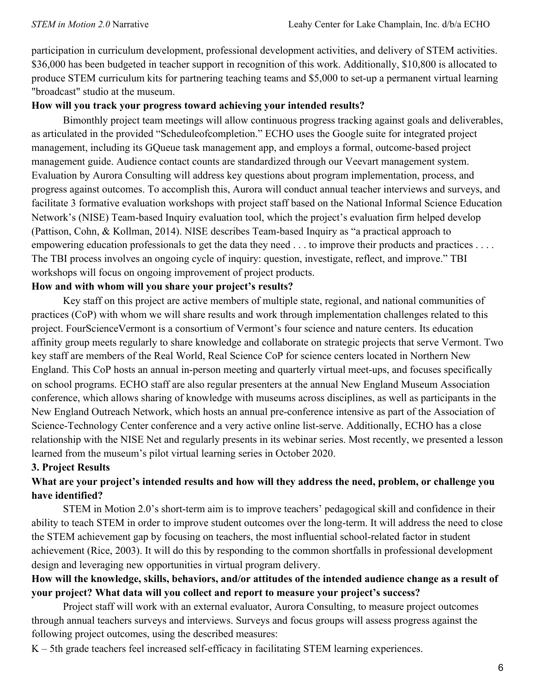participation in curriculum development, professional development activities, and delivery of STEM activities. \$36,000 has been budgeted in teacher support in recognition of this work. Additionally, \$10,800 is allocated to produce STEM curriculum kits for partnering teaching teams and \$5,000 to set-up a permanent virtual learning "broadcast" studio at the museum.

### **How will you track your progress toward achieving your intended results?**

Bimonthly project team meetings will allow continuous progress tracking against goals and deliverables, as articulated in the provided "Scheduleofcompletion." ECHO uses the Google suite for integrated project management, including its GQueue task management app, and employs a formal, outcome-based project management guide. Audience contact counts are standardized through our Veevart management system. Evaluation by Aurora Consulting will address key questions about program implementation, process, and progress against outcomes. To accomplish this, Aurora will conduct annual teacher interviews and surveys, and facilitate 3 formative evaluation workshops with project staff based on the National Informal Science Education Network's (NISE) Team-based Inquiry evaluation tool, which the project's evaluation firm helped develop (Pattison, Cohn, & Kollman, 2014). NISE describes Team-based Inquiry as "a practical approach to empowering education professionals to get the data they need . . . to improve their products and practices . . . . The TBI process involves an ongoing cycle of inquiry: question, investigate, reflect, and improve." TBI workshops will focus on ongoing improvement of project products.

## **How and with whom will you share your project's results?**

Key staff on this project are active members of multiple state, regional, and national communities of practices (CoP) with whom we will share results and work through implementation challenges related to this project. FourScienceVermont is a consortium of Vermont's four science and nature centers. Its education affinity group meets regularly to share knowledge and collaborate on strategic projects that serve Vermont. Two key staff are members of the Real World, Real Science CoP for science centers located in Northern New England. This CoP hosts an annual in-person meeting and quarterly virtual meet-ups, and focuses specifically on school programs. ECHO staff are also regular presenters at the annual New England Museum Association conference, which allows sharing of knowledge with museums across disciplines, as well as participants in the New England Outreach Network, which hosts an annual pre-conference intensive as part of the Association of Science-Technology Center conference and a very active online list-serve. Additionally, ECHO has a close relationship with the NISE Net and regularly presents in its webinar series. Most recently, we presented a lesson learned from the museum's pilot virtual learning series in October 2020.

### **3. Project Results**

# **What are your project's intended results and how will they address the need, problem, or challenge you have identified?**

STEM in Motion 2.0's short-term aim is to improve teachers' pedagogical skill and confidence in their ability to teach STEM in order to improve student outcomes over the long-term. It will address the need to close the STEM achievement gap by focusing on teachers, the most influential school-related factor in student achievement (Rice, 2003). It will do this by responding to the common shortfalls in professional development design and leveraging new opportunities in virtual program delivery.

## **How will the knowledge, skills, behaviors, and/or attitudes of the intended audience change as a result of your project? What data will you collect and report to measure your project's success?**

Project staff will work with an external evaluator, Aurora Consulting, to measure project outcomes through annual teachers surveys and interviews. Surveys and focus groups will assess progress against the following project outcomes, using the described measures:

K – 5th grade teachers feel increased self-efficacy in facilitating STEM learning experiences.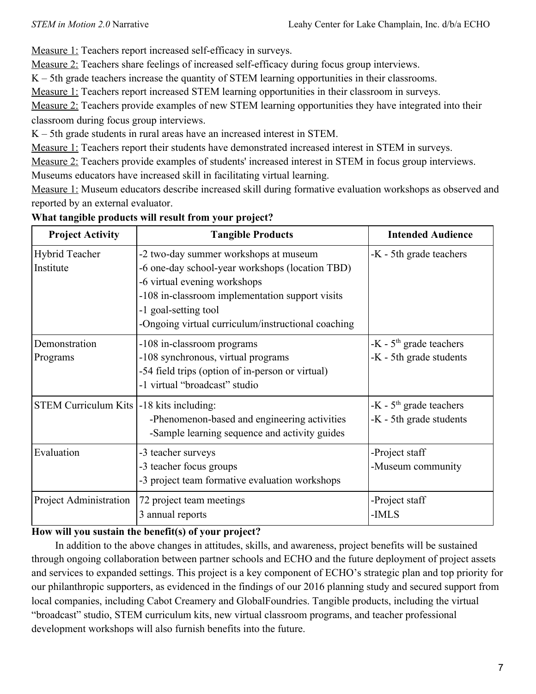Measure 1: Teachers report increased self-efficacy in surveys.

Measure 2: Teachers share feelings of increased self-efficacy during focus group interviews.

K – 5th grade teachers increase the quantity of STEM learning opportunities in their classrooms.

Measure 1: Teachers report increased STEM learning opportunities in their classroom in surveys.

Measure 2: Teachers provide examples of new STEM learning opportunities they have integrated into their classroom during focus group interviews.

K – 5th grade students in rural areas have an increased interest in STEM.

Measure 1: Teachers report their students have demonstrated increased interest in STEM in surveys.

Measure 2: Teachers provide examples of students' increased interest in STEM in focus group interviews.

Museums educators have increased skill in facilitating virtual learning.

Measure 1: Museum educators describe increased skill during formative evaluation workshops as observed and reported by an external evaluator.

| <b>Project Activity</b>                    | <b>Tangible Products</b>                                                                                                                                                                                                                                  | <b>Intended Audience</b>                             |
|--------------------------------------------|-----------------------------------------------------------------------------------------------------------------------------------------------------------------------------------------------------------------------------------------------------------|------------------------------------------------------|
| Hybrid Teacher<br>Institute                | -2 two-day summer workshops at museum<br>-6 one-day school-year workshops (location TBD)<br>-6 virtual evening workshops<br>-108 in-classroom implementation support visits<br>-1 goal-setting tool<br>-Ongoing virtual curriculum/instructional coaching | -K - 5th grade teachers                              |
| Demonstration<br>Programs                  | -108 in-classroom programs<br>-108 synchronous, virtual programs<br>-54 field trips (option of in-person or virtual)<br>-1 virtual "broadcast" studio                                                                                                     | $-K - 5th$ grade teachers<br>-K - 5th grade students |
| STEM Curriculum Kits   -18 kits including: | -Phenomenon-based and engineering activities<br>-Sample learning sequence and activity guides                                                                                                                                                             | $-K - 5th$ grade teachers<br>-K - 5th grade students |
| Evaluation                                 | -3 teacher surveys<br>-3 teacher focus groups<br>-3 project team formative evaluation workshops                                                                                                                                                           | -Project staff<br>-Museum community                  |
| Project Administration                     | 72 project team meetings<br>3 annual reports                                                                                                                                                                                                              | -Project staff<br>-IMLS                              |

# **What tangible products will result from your project?**

# **How will you sustain the benefit(s) of your project?**

In addition to the above changes in attitudes, skills, and awareness, project benefits will be sustained through ongoing collaboration between partner schools and ECHO and the future deployment of project assets and services to expanded settings. This project is a key component of ECHO's strategic plan and top priority for our philanthropic supporters, as evidenced in the findings of our 2016 planning study and secured support from local companies, including Cabot Creamery and GlobalFoundries. Tangible products, including the virtual "broadcast" studio, STEM curriculum kits, new virtual classroom programs, and teacher professional development workshops will also furnish benefits into the future.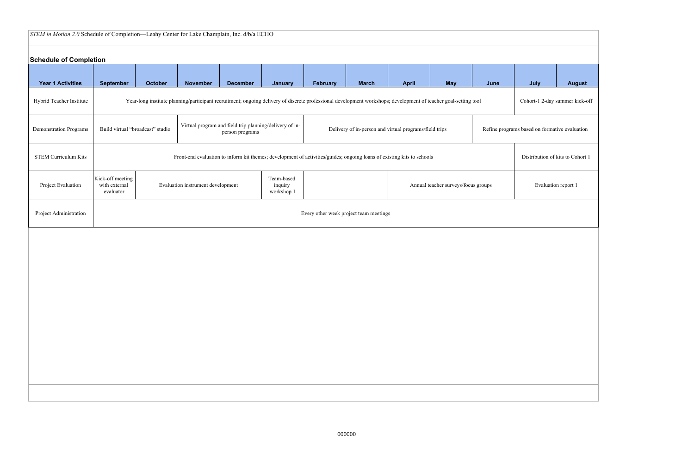# *STEM in Motion 2.0* Schedule of Completion—Leahy Center for Lake Champlain, Inc. d/b/a ECHO

# **Schedule of Completion**

| <b>Schedule of Completion</b> |                                                                                                                                                                          |         |                                                                                                                                                                 |                 |                |                 |                                        |              |                                               |      |                             |               |
|-------------------------------|--------------------------------------------------------------------------------------------------------------------------------------------------------------------------|---------|-----------------------------------------------------------------------------------------------------------------------------------------------------------------|-----------------|----------------|-----------------|----------------------------------------|--------------|-----------------------------------------------|------|-----------------------------|---------------|
| <b>Year 1 Activities</b>      | <b>September</b>                                                                                                                                                         | October | <b>November</b>                                                                                                                                                 | <b>December</b> | <b>January</b> | <b>February</b> | <b>March</b>                           | <b>April</b> | <b>May</b>                                    | June | July                        | <b>August</b> |
| Hybrid Teacher Institute      |                                                                                                                                                                          |         | Year-long institute planning/participant recruitment; ongoing delivery of discrete professional development workshops; development of teacher goal-setting tool |                 |                |                 |                                        |              |                                               |      | Cohort-1 2-day summer kick- |               |
| <b>Demonstration Programs</b> | Virtual program and field trip planning/delivery of in-<br>Build virtual "broadcast" studio<br>Delivery of in-person and virtual programs/field trips<br>person programs |         |                                                                                                                                                                 |                 |                |                 |                                        |              | Refine programs based on formative evaluation |      |                             |               |
| <b>STEM Curriculum Kits</b>   | Front-end evaluation to inform kit themes; development of activities/guides; ongoing loans of existing kits to schools<br>Distribution of kits to Cohort                 |         |                                                                                                                                                                 |                 |                |                 |                                        |              |                                               |      |                             |               |
| Project Evaluation            | Kick-off meeting<br>Team-based<br>with external<br>Evaluation instrument development<br>inquiry<br>Annual teacher surveys/focus groups<br>workshop 1<br>evaluator        |         |                                                                                                                                                                 |                 |                |                 |                                        |              | Evaluation report 1                           |      |                             |               |
| Project Administration        |                                                                                                                                                                          |         |                                                                                                                                                                 |                 |                |                 | Every other week project team meetings |              |                                               |      |                             |               |
|                               |                                                                                                                                                                          |         |                                                                                                                                                                 |                 |                |                 |                                        |              |                                               |      |                             |               |
|                               |                                                                                                                                                                          |         |                                                                                                                                                                 |                 |                |                 |                                        |              |                                               |      |                             |               |
|                               |                                                                                                                                                                          |         |                                                                                                                                                                 |                 |                |                 |                                        |              |                                               |      |                             |               |
|                               |                                                                                                                                                                          |         |                                                                                                                                                                 |                 |                |                 |                                        |              |                                               |      |                             |               |
|                               |                                                                                                                                                                          |         |                                                                                                                                                                 |                 |                |                 |                                        |              |                                               |      |                             |               |
|                               |                                                                                                                                                                          |         |                                                                                                                                                                 |                 |                |                 |                                        |              |                                               |      |                             |               |
|                               |                                                                                                                                                                          |         |                                                                                                                                                                 |                 |                |                 |                                        |              |                                               |      |                             |               |

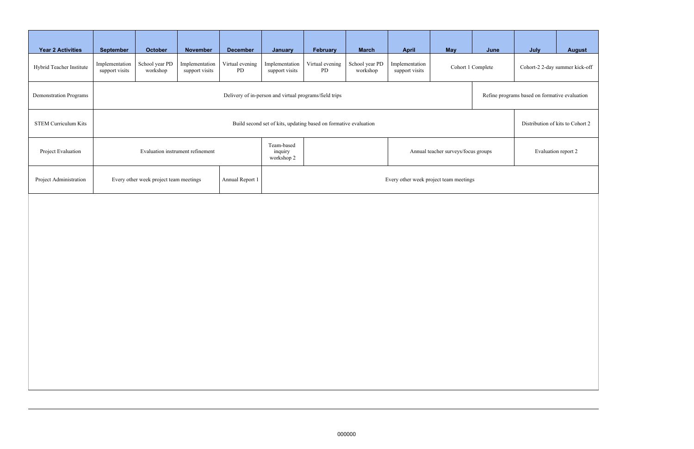| <b>Year 2 Activities</b>    | <b>September</b>                                                                                    | October                    | <b>November</b>                  | <b>December</b>       | January                                                                    | February              | <b>March</b>               | <b>April</b>                     | <b>May</b>        | June | July                                          | <b>August</b> |  |
|-----------------------------|-----------------------------------------------------------------------------------------------------|----------------------------|----------------------------------|-----------------------|----------------------------------------------------------------------------|-----------------------|----------------------------|----------------------------------|-------------------|------|-----------------------------------------------|---------------|--|
| Hybrid Teacher Institute    | Implementation<br>support visits                                                                    | School year PD<br>workshop | Implementation<br>support visits | Virtual evening<br>PD | Implementation<br>support visits                                           | Virtual evening<br>PD | School year PD<br>workshop | Implementation<br>support visits | Cohort 1 Complete |      | Cohort-2 2-day summer kick-off                |               |  |
| Demonstration Programs      | Delivery of in-person and virtual programs/field trips                                              |                            |                                  |                       |                                                                            |                       |                            |                                  |                   |      | Refine programs based on formative evaluation |               |  |
| <b>STEM Curriculum Kits</b> | Build second set of kits, updating based on formative evaluation                                    |                            |                                  |                       |                                                                            |                       |                            |                                  |                   |      | Distribution of kits to Cohort 2              |               |  |
| Project Evaluation          |                                                                                                     |                            | Evaluation instrument refinement |                       | Team-based<br>inquiry<br>Annual teacher surveys/focus groups<br>workshop 2 |                       |                            |                                  |                   |      | Evaluation report 2                           |               |  |
| Project Administration      | Every other week project team meetings<br>Annual Report 1<br>Every other week project team meetings |                            |                                  |                       |                                                                            |                       |                            |                                  |                   |      |                                               |               |  |
|                             |                                                                                                     |                            |                                  |                       |                                                                            |                       |                            |                                  |                   |      |                                               |               |  |
|                             |                                                                                                     |                            |                                  |                       |                                                                            |                       |                            |                                  |                   |      |                                               |               |  |
|                             |                                                                                                     |                            |                                  |                       |                                                                            |                       |                            |                                  |                   |      |                                               |               |  |
|                             |                                                                                                     |                            |                                  |                       |                                                                            |                       |                            |                                  |                   |      |                                               |               |  |
|                             |                                                                                                     |                            |                                  |                       |                                                                            |                       |                            |                                  |                   |      |                                               |               |  |
|                             |                                                                                                     |                            |                                  |                       |                                                                            |                       |                            |                                  |                   |      |                                               |               |  |
|                             |                                                                                                     |                            |                                  |                       |                                                                            |                       |                            |                                  |                   |      |                                               |               |  |